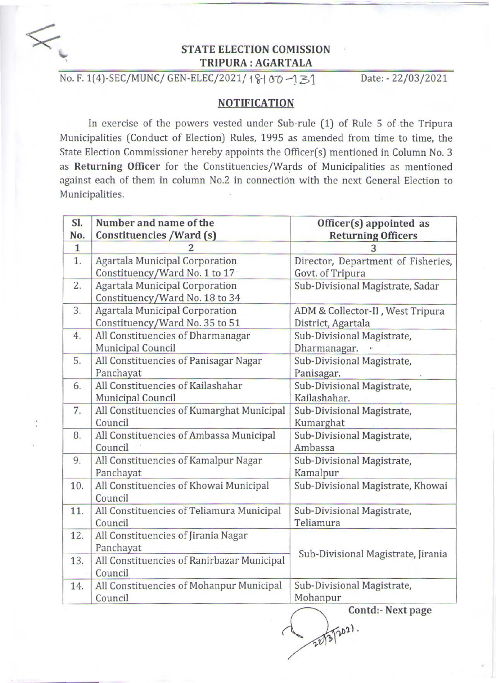

## STATE ELECTION COMISSION TRIPURA : AGARTALA

No. F. 1(4)-SEC/MUNC/ GEN-ELEC/2021/ 18 | 00 -131 Date: - 22/03/2021

## NOTIFICATION

In exercise of the powers vested under Sub-rule (1) of Rule 5 of the Tripura Municipalities (Conduct of Election) Rules, 1995 as amended from time to time, the State Election Commissioner hereby appoints the Officer(s) mentioned in Column No.3 as Returning Officer for the Constituencies/Wards of Municipalities as mentioned against each of them in column No.2 in connection with the next General Election to Municipalities.

| SI.          | Number and name of the                     | Officer(s) appointed as            |
|--------------|--------------------------------------------|------------------------------------|
| No.          | Constituencies / Ward (s)                  | <b>Returning Officers</b>          |
| $\mathbf{1}$ |                                            | 3                                  |
| 1.           | <b>Agartala Municipal Corporation</b>      | Director, Department of Fisheries, |
|              | Constituency/Ward No. 1 to 17              | Govt. of Tripura                   |
| 2.           | <b>Agartala Municipal Corporation</b>      | Sub-Divisional Magistrate, Sadar   |
|              | Constituency/Ward No. 18 to 34             |                                    |
| 3.           | Agartala Municipal Corporation             | ADM & Collector-II, West Tripura   |
|              | Constituency/Ward No. 35 to 51             | District, Agartala                 |
| 4.           | All Constituencies of Dharmanagar          | Sub-Divisional Magistrate,         |
|              | Municipal Council                          | Dharmanagar.                       |
| 5.           | All Constituencies of Panisagar Nagar      | Sub-Divisional Magistrate,         |
|              | Panchayat                                  | Panisagar.                         |
| 6.           | All Constituencies of Kailashahar          | Sub-Divisional Magistrate,         |
|              | <b>Municipal Council</b>                   | Kailashahar.                       |
| 7.           | All Constituencies of Kumarghat Municipal  | Sub-Divisional Magistrate,         |
|              | Council                                    | Kumarghat                          |
| 8.           | All Constituencies of Ambassa Municipal    | Sub-Divisional Magistrate,         |
|              | Council                                    | Ambassa                            |
| 9.           | All Constituencies of Kamalpur Nagar       | Sub-Divisional Magistrate,         |
|              | Panchayat                                  | Kamalpur                           |
| 10.          | All Constituencies of Khowai Municipal     | Sub-Divisional Magistrate, Khowai  |
|              | Council                                    |                                    |
| 11.          | All Constituencies of Teliamura Municipal  | Sub-Divisional Magistrate,         |
|              | Council                                    | Teliamura                          |
| 12.          | All Constituencies of Jirania Nagar        | Sub-Divisional Magistrate, Jirania |
|              | Panchayat                                  |                                    |
| 13.          | All Constituencies of Ranirbazar Municipal |                                    |
|              | Council                                    |                                    |
| 14.          | All Constituencies of Mohanpur Municipal   | Sub-Divisional Magistrate,         |
|              | Council                                    | Mohanpur                           |
|              |                                            | Contd: Next page                   |

22/3/2021.